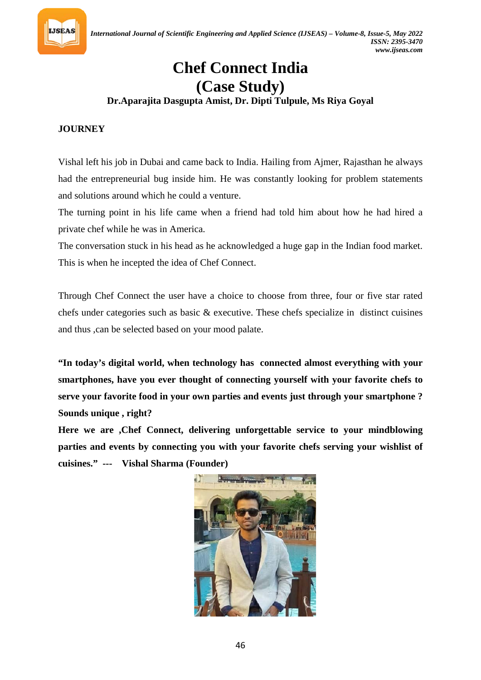

# **Chef Connect India (Case Study)**

# **Dr.Aparajita Dasgupta Amist, Dr. Dipti Tulpule, Ms Riya Goyal**

## **JOURNEY**

Vishal left his job in Dubai and came back to India. Hailing from Ajmer, Rajasthan he always had the entrepreneurial bug inside him. He was constantly looking for problem statements and solutions around which he could a venture.

The turning point in his life came when a friend had told him about how he had hired a private chef while he was in America.

The conversation stuck in his head as he acknowledged a huge gap in the Indian food market. This is when he incepted the idea of Chef Connect.

Through Chef Connect the user have a choice to choose from three, four or five star rated chefs under categories such as basic & executive. These chefs specialize in distinct cuisines and thus ,can be selected based on your mood palate.

**"In today's digital world, when technology has connected almost everything with your smartphones, have you ever thought of connecting yourself with your favorite chefs to serve your favorite food in your own parties and events just through your smartphone ? Sounds unique , right?**

**Here we are ,Chef Connect, delivering unforgettable service to your mindblowing parties and events by connecting you with your favorite chefs serving your wishlist of cuisines." --- Vishal Sharma (Founder)**

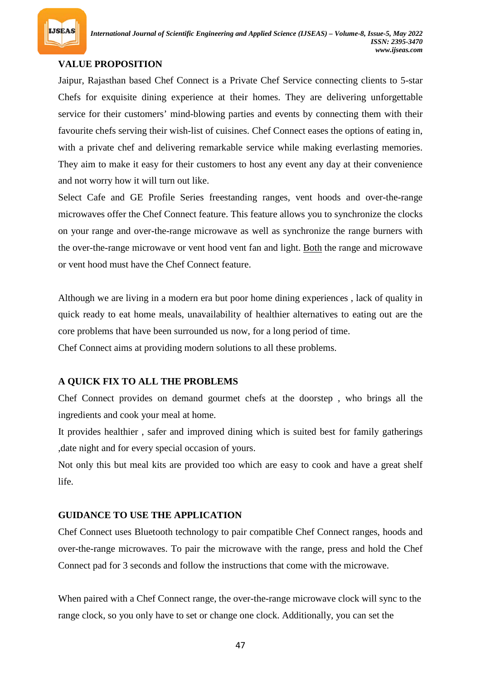

# **VALUE PROPOSITION**

Jaipur, Rajasthan based Chef Connect is a Private Chef Service connecting clients to 5-star Chefs for exquisite dining experience at their homes. They are delivering unforgettable service for their customers' mind-blowing parties and events by connecting them with their favourite chefs serving their wish-list of cuisines. Chef Connect eases the options of eating in, with a private chef and delivering remarkable service while making everlasting memories. They aim to make it easy for their customers to host any event any day at their convenience and not worry how it will turn out like.

Select Cafe and GE Profile Series freestanding ranges, vent hoods and over-the-range microwaves offer the Chef Connect feature. This feature allows you to synchronize the clocks on your range and over-the-range microwave as well as synchronize the range burners with the over-the-range microwave or vent hood vent fan and light. Both the range and microwave or vent hood must have the Chef Connect feature.

Although we are living in a modern era but poor home dining experiences , lack of quality in quick ready to eat home meals, unavailability of healthier alternatives to eating out are the core problems that have been surrounded us now, for a long period of time.

Chef Connect aims at providing modern solutions to all these problems.

### **A QUICK FIX TO ALL THE PROBLEMS**

Chef Connect provides on demand gourmet chefs at the doorstep , who brings all the ingredients and cook your meal at home.

It provides healthier , safer and improved dining which is suited best for family gatherings ,date night and for every special occasion of yours.

Not only this but meal kits are provided too which are easy to cook and have a great shelf life.

### **GUIDANCE TO USE THE APPLICATION**

Chef Connect uses Bluetooth technology to pair compatible Chef Connect ranges, hoods and over-the-range microwaves. To pair the microwave with the range, press and hold the Chef Connect pad for 3 seconds and follow the instructions that come with the microwave.

When paired with a Chef Connect range, the over-the-range microwave clock will sync to the range clock, so you only have to set or change one clock. Additionally, you can set the

47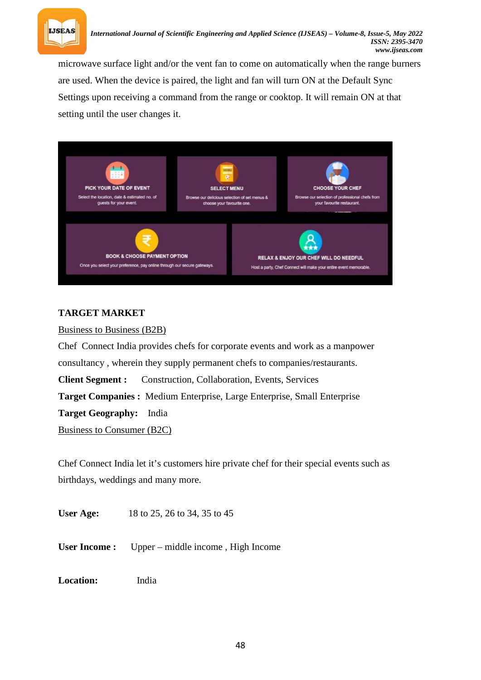

microwave surface light and/or the vent fan to come on automatically when the range burners are used. When the device is paired, the light and fan will turn ON at the Default Sync Settings upon receiving a command from the range or cooktop. It will remain ON at that setting until the user changes it.



## **TARGET MARKET**

Business to Business (B2B)

Chef Connect India provides chefs for corporate events and work as a manpower consultancy , wherein they supply permanent chefs to companies/restaurants. **Client Segment :** Construction, Collaboration, Events, Services **Target Companies :** Medium Enterprise, Large Enterprise, Small Enterprise **Target Geography:** India Business to Consumer (B2C)

Chef Connect India let it's customers hire private chef for their special events such as birthdays, weddings and many more.

**User Age:** 18 to 25, 26 to 34, 35 to 45

**User Income :** Upper – middle income , High Income

**Location:** India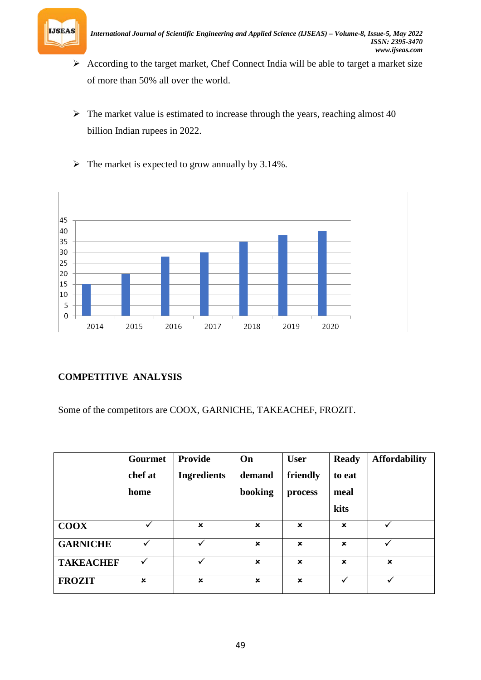

- $\triangleright$  According to the target market, Chef Connect India will be able to target a market size of more than 50% all over the world.
- $\triangleright$  The market value is estimated to increase through the years, reaching almost 40 billion Indian rupees in 2022.
- $\triangleright$  The market is expected to grow annually by 3.14%.



# **COMPETITIVE ANALYSIS**

Some of the competitors are COOX, GARNICHE, TAKEACHEF, FROZIT.

|                  | Gourmet                   | <b>Provide</b>            | On          | <b>User</b>               | <b>Ready</b> | <b>Affordability</b>      |
|------------------|---------------------------|---------------------------|-------------|---------------------------|--------------|---------------------------|
|                  | chef at                   | <b>Ingredients</b>        | demand      | friendly                  | to eat       |                           |
|                  | home                      |                           | booking     | process                   | meal         |                           |
|                  |                           |                           |             |                           | kits         |                           |
| <b>COOX</b>      | ✓                         | $\boldsymbol{\mathsf{x}}$ | $\mathbf x$ | $\mathbf x$               | $\mathbf x$  |                           |
| <b>GARNICHE</b>  |                           |                           | $\mathbf x$ | $\boldsymbol{\mathsf{x}}$ | $\mathbf x$  |                           |
| <b>TAKEACHEF</b> | ✓                         | $\checkmark$              | $\mathbf x$ | $\boldsymbol{\mathsf{x}}$ | $\mathbf x$  | $\boldsymbol{\mathsf{x}}$ |
| <b>FROZIT</b>    | $\boldsymbol{\mathsf{x}}$ | $\boldsymbol{\mathsf{x}}$ | $\mathbf x$ | $\boldsymbol{\mathsf{x}}$ |              |                           |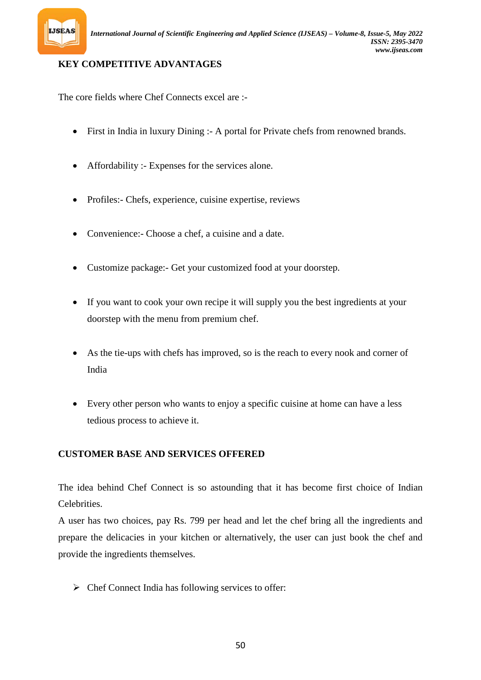

## **KEY COMPETITIVE ADVANTAGES**

The core fields where Chef Connects excel are :-

- First in India in luxury Dining :- A portal for Private chefs from renowned brands.
- Affordability :- Expenses for the services alone.
- Profiles:- Chefs, experience, cuisine expertise, reviews
- Convenience:- Choose a chef, a cuisine and a date.
- Customize package:- Get your customized food at your doorstep.
- If you want to cook your own recipe it will supply you the best ingredients at your doorstep with the menu from premium chef.
- As the tie-ups with chefs has improved, so is the reach to every nook and corner of India
- Every other person who wants to enjoy a specific cuisine at home can have a less tedious process to achieve it.

## **CUSTOMER BASE AND SERVICES OFFERED**

The idea behind Chef Connect is so astounding that it has become first choice of Indian Celebrities.

A user has two choices, pay Rs. 799 per head and let the chef bring all the ingredients and prepare the delicacies in your kitchen or alternatively, the user can just book the chef and provide the ingredients themselves.

 $\triangleright$  Chef Connect India has following services to offer: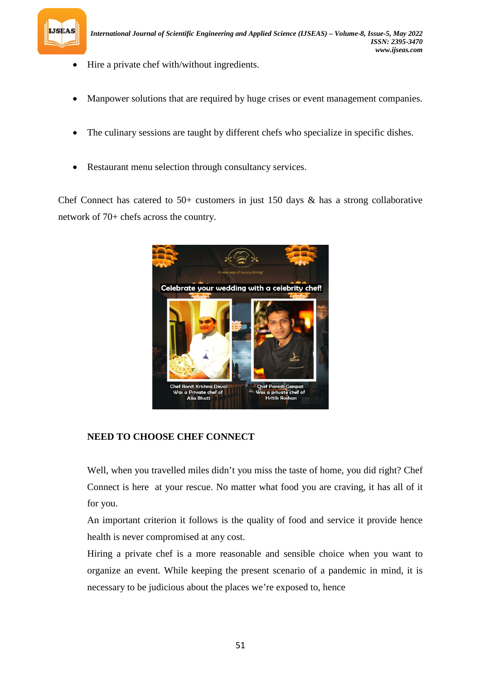

- Hire a private chef with/without ingredients.
- Manpower solutions that are required by huge crises or event management companies.
- The culinary sessions are taught by different chefs who specialize in specific dishes.
- Restaurant menu selection through consultancy services.

Chef Connect has catered to  $50+$  customers in just 150 days & has a strong collaborative network of 70+ chefs across the country.



### **NEED TO CHOOSE CHEF CONNECT**

Well, when you travelled miles didn't you miss the taste of home, you did right? Chef Connect is here at your rescue. No matter what food you are craving, it has all of it for you.

An important criterion it follows is the quality of food and service it provide hence health is never compromised at any cost.

Hiring a private chef is a more reasonable and sensible choice when you want to organize an event. While keeping the present scenario of a pandemic in mind, it is necessary to be judicious about the places we're exposed to, hence